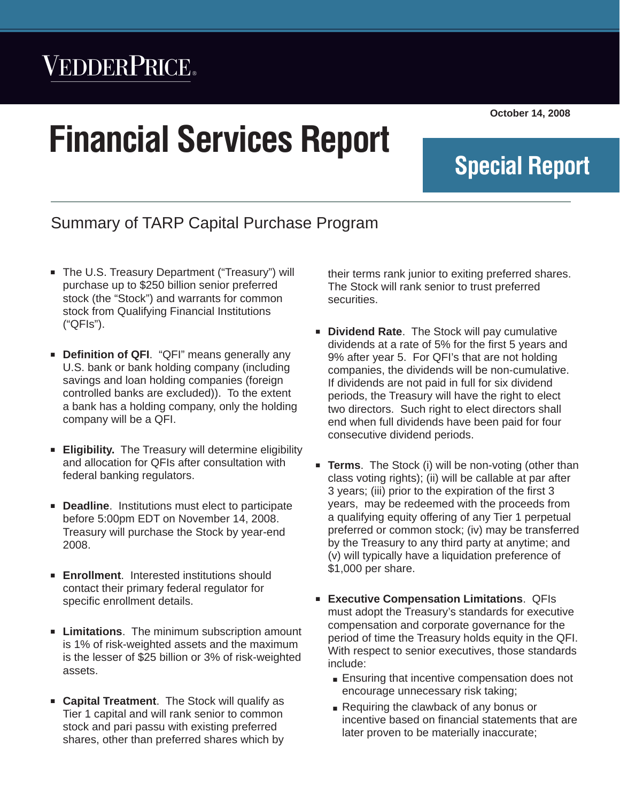## VEDDERPRICE®

# **Financial Services Report**

**October 14, 2008**

**Special Report**

### Summary of TARP Capital Purchase Program

- The U.S. Treasury Department ("Treasury") will purchase up to \$250 billion senior preferred stock (the "Stock") and warrants for common stock from Qualifying Financial Institutions ("QFIs").
- **EX Definition of QFI.** "QFI" means generally any U.S. bank or bank holding company (including savings and loan holding companies (foreign controlled banks are excluded)). To the extent a bank has a holding company, only the holding company will be a QFI.
- **Eligibility.** The Treasury will determine eligibility and allocation for QFIs after consultation with federal banking regulators.
- **Deadline.** Institutions must elect to participate before 5:00pm EDT on November 14, 2008. Treasury will purchase the Stock by year-end 2008.
- **Enrollment.** Interested institutions should contact their primary federal regulator for specific enrollment details.
- **EXECT:** Limitations. The minimum subscription amount is 1% of risk-weighted assets and the maximum is the lesser of \$25 billion or 3% of risk-weighted assets.
- **Capital Treatment**. The Stock will qualify as Tier 1 capital and will rank senior to common stock and pari passu with existing preferred shares, other than preferred shares which by

their terms rank junior to exiting preferred shares. The Stock will rank senior to trust preferred securities.

*Financial Services Report* Q *October 14, 2008*

- **Dividend Rate.** The Stock will pay cumulative dividends at a rate of 5% for the first 5 years and 9% after year 5. For QFI's that are not holding companies, the dividends will be non-cumulative. If dividends are not paid in full for six dividend periods, the Treasury will have the right to elect two directors. Such right to elect directors shall end when full dividends have been paid for four consecutive dividend periods.
- **Terms**. The Stock (i) will be non-voting (other than class voting rights); (ii) will be callable at par after 3 years; (iii) prior to the expiration of the first 3 years, may be redeemed with the proceeds from a qualifying equity offering of any Tier 1 perpetual preferred or common stock; (iv) may be transferred by the Treasury to any third party at anytime; and (v) will typically have a liquidation preference of \$1,000 per share.
- **Executive Compensation Limitations. QFIs** must adopt the Treasury's standards for executive compensation and corporate governance for the period of time the Treasury holds equity in the QFI. With respect to senior executives, those standards include:
	- Ensuring that incentive compensation does not encourage unnecessary risk taking;
	- Requiring the clawback of any bonus or incentive based on financial statements that are later proven to be materially inaccurate;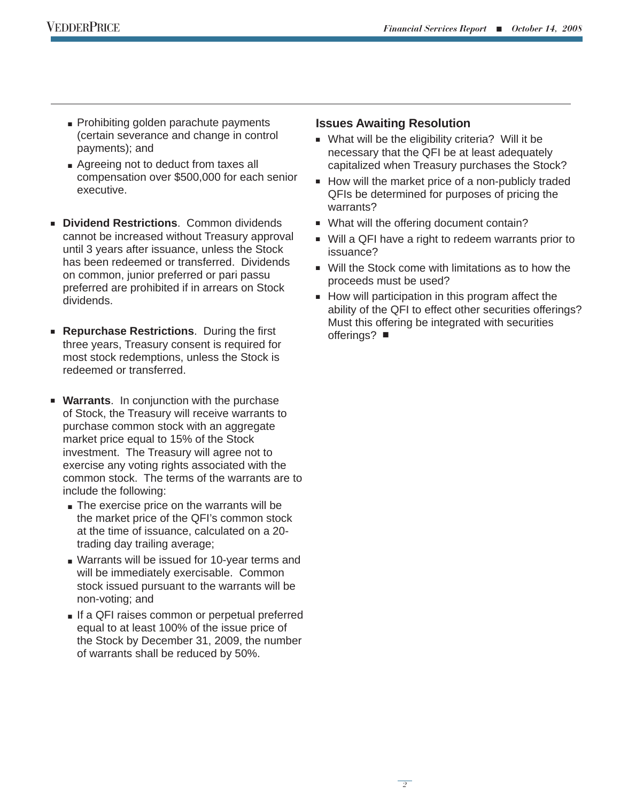- Prohibiting golden parachute payments (certain severance and change in control payments); and
- Agreeing not to deduct from taxes all compensation over \$500,000 for each senior executive.
- **E** Dividend Restrictions. Common dividends cannot be increased without Treasury approval until 3 years after issuance, unless the Stock has been redeemed or transferred. Dividends on common, junior preferred or pari passu preferred are prohibited if in arrears on Stock dividends.
- **Repurchase Restrictions.** During the first three years, Treasury consent is required for most stock redemptions, unless the Stock is redeemed or transferred.
- **Warrants**. In conjunction with the purchase of Stock, the Treasury will receive warrants to purchase common stock with an aggregate market price equal to 15% of the Stock investment. The Treasury will agree not to exercise any voting rights associated with the common stock. The terms of the warrants are to include the following:
	- $\blacksquare$  The exercise price on the warrants will be the market price of the QFI's common stock at the time of issuance, calculated on a 20 trading day trailing average;
	- Warrants will be issued for 10-year terms and will be immediately exercisable. Common stock issued pursuant to the warrants will be non-voting; and
	- If a QFI raises common or perpetual preferred equal to at least 100% of the issue price of the Stock by December 31, 2009, the number of warrants shall be reduced by 50%.

#### **Issues Awaiting Resolution**

- What will be the eligibility criteria? Will it be necessary that the QFI be at least adequately capitalized when Treasury purchases the Stock?
- $\blacksquare$  How will the market price of a non-publicly traded QFIs be determined for purposes of pricing the warrants?
- What will the offering document contain?
- Will a QFI have a right to redeem warrants prior to issuance?
- $\blacksquare$  Will the Stock come with limitations as to how the proceeds must be used?
- $\blacksquare$  How will participation in this program affect the ability of the QFI to effect other securities offerings? Must this offering be integrated with securities offerings?  $\blacksquare$